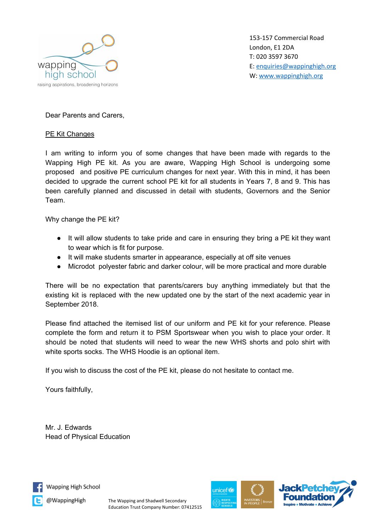

153-157 Commercial Road London, E1 2DA T: 020 3597 3670 E: [enquiries@wappinghigh.org](mailto:enquiries@wappinghigh.org) W: [www.wappinghigh.org](http://www.wappinghigh.org/)

Dear Parents and Carers,

## PE Kit Changes

I am writing to inform you of some changes that have been made with regards to the Wapping High PE kit. As you are aware, Wapping High School is undergoing some proposed and positive PE curriculum changes for next year. With this in mind, it has been decided to upgrade the current school PE kit for all students in Years 7, 8 and 9. This has been carefully planned and discussed in detail with students, Governors and the Senior Team.

Why change the PE kit?

- It will allow students to take pride and care in ensuring they bring a PE kit they want to wear which is fit for purpose.
- It will make students smarter in appearance, especially at off site venues
- Microdot polyester fabric and darker colour, will be more practical and more durable

There will be no expectation that parents/carers buy anything immediately but that the existing kit is replaced with the new updated one by the start of the next academic year in September 2018.

Please find attached the itemised list of our uniform and PE kit for your reference. Please complete the form and return it to PSM Sportswear when you wish to place your order. It should be noted that students will need to wear the new WHS shorts and polo shirt with white sports socks. The WHS Hoodie is an optional item.

If you wish to discuss the cost of the PE kit, please do not hesitate to contact me.

Yours faithfully,

Mr. J. Edwards Head of Physical Education



Wapping High School

@WappingHigh

The Wapping and Shadwell Secondary Education Trust Company Number: 07412515